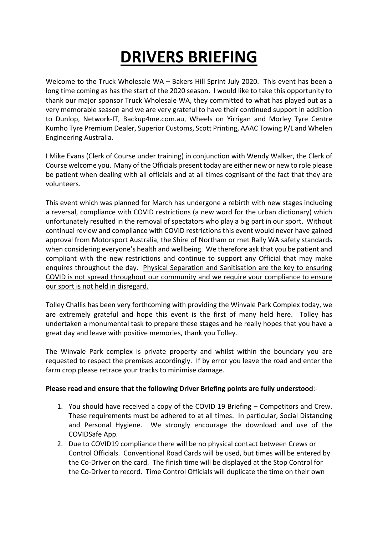## **DRIVERS BRIEFING**

Welcome to the Truck Wholesale WA – Bakers Hill Sprint July 2020. This event has been a long time coming as has the start of the 2020 season. I would like to take this opportunity to thank our major sponsor Truck Wholesale WA, they committed to what has played out as a very memorable season and we are very grateful to have their continued support in addition to Dunlop, Network-IT, Backup4me.com.au, Wheels on Yirrigan and Morley Tyre Centre Kumho Tyre Premium Dealer, Superior Customs, Scott Printing, AAAC Towing P/L and Whelen Engineering Australia.

I Mike Evans (Clerk of Course under training) in conjunction with Wendy Walker, the Clerk of Course welcome you. Many of the Officials present today are either new or new to role please be patient when dealing with all officials and at all times cognisant of the fact that they are volunteers.

This event which was planned for March has undergone a rebirth with new stages including a reversal, compliance with COVID restrictions (a new word for the urban dictionary) which unfortunately resulted in the removal of spectators who play a big part in our sport. Without continual review and compliance with COVID restrictions this event would never have gained approval from Motorsport Australia, the Shire of Northam or met Rally WA safety standards when considering everyone's health and wellbeing. We therefore ask that you be patient and compliant with the new restrictions and continue to support any Official that may make enquires throughout the day. Physical Separation and Sanitisation are the key to ensuring COVID is not spread throughout our community and we require your compliance to ensure our sport is not held in disregard.

Tolley Challis has been very forthcoming with providing the Winvale Park Complex today, we are extremely grateful and hope this event is the first of many held here. Tolley has undertaken a monumental task to prepare these stages and he really hopes that you have a great day and leave with positive memories, thank you Tolley.

The Winvale Park complex is private property and whilst within the boundary you are requested to respect the premises accordingly. If by error you leave the road and enter the farm crop please retrace your tracks to minimise damage.

## **Please read and ensure that the following Driver Briefing points are fully understood**:-

- 1. You should have received a copy of the COVID 19 Briefing Competitors and Crew. These requirements must be adhered to at all times. In particular, Social Distancing and Personal Hygiene. We strongly encourage the download and use of the COVIDSafe App.
- 2. Due to COVID19 compliance there will be no physical contact between Crews or Control Officials. Conventional Road Cards will be used, but times will be entered by the Co-Driver on the card. The finish time will be displayed at the Stop Control for the Co-Driver to record. Time Control Officials will duplicate the time on their own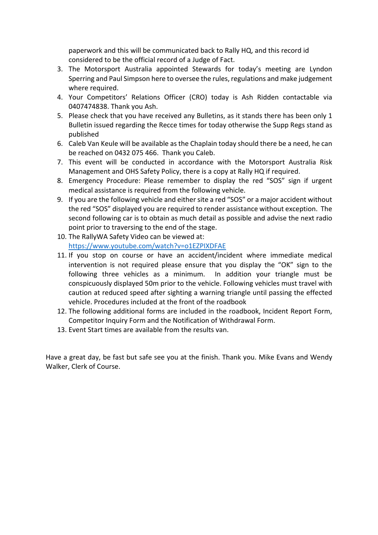paperwork and this will be communicated back to Rally HQ, and this record id considered to be the official record of a Judge of Fact.

- 3. The Motorsport Australia appointed Stewards for today's meeting are Lyndon Sperring and Paul Simpson here to oversee the rules, regulations and make judgement where required.
- 4. Your Competitors' Relations Officer (CRO) today is Ash Ridden contactable via 0407474838. Thank you Ash.
- 5. Please check that you have received any Bulletins, as it stands there has been only 1 Bulletin issued regarding the Recce times for today otherwise the Supp Regs stand as published
- 6. Caleb Van Keule will be available as the Chaplain today should there be a need, he can be reached on 0432 075 466. Thank you Caleb.
- 7. This event will be conducted in accordance with the Motorsport Australia Risk Management and OHS Safety Policy, there is a copy at Rally HQ if required.
- 8. Emergency Procedure: Please remember to display the red "SOS" sign if urgent medical assistance is required from the following vehicle.
- 9. If you are the following vehicle and either site a red "SOS" or a major accident without the red "SOS" displayed you are required to render assistance without exception. The second following car is to obtain as much detail as possible and advise the next radio point prior to traversing to the end of the stage.
- 10. The RallyWA Safety Video can be viewed at: https://www.youtube.com/watch?v=o1EZPIXDFAE
- 11. If you stop on course or have an accident/incident where immediate medical intervention is not required please ensure that you display the "OK" sign to the following three vehicles as a minimum. In addition your triangle must be conspicuously displayed 50m prior to the vehicle. Following vehicles must travel with caution at reduced speed after sighting a warning triangle until passing the effected vehicle. Procedures included at the front of the roadbook
- 12. The following additional forms are included in the roadbook, Incident Report Form, Competitor Inquiry Form and the Notification of Withdrawal Form.
- 13. Event Start times are available from the results van.

Have a great day, be fast but safe see you at the finish. Thank you. Mike Evans and Wendy Walker, Clerk of Course.